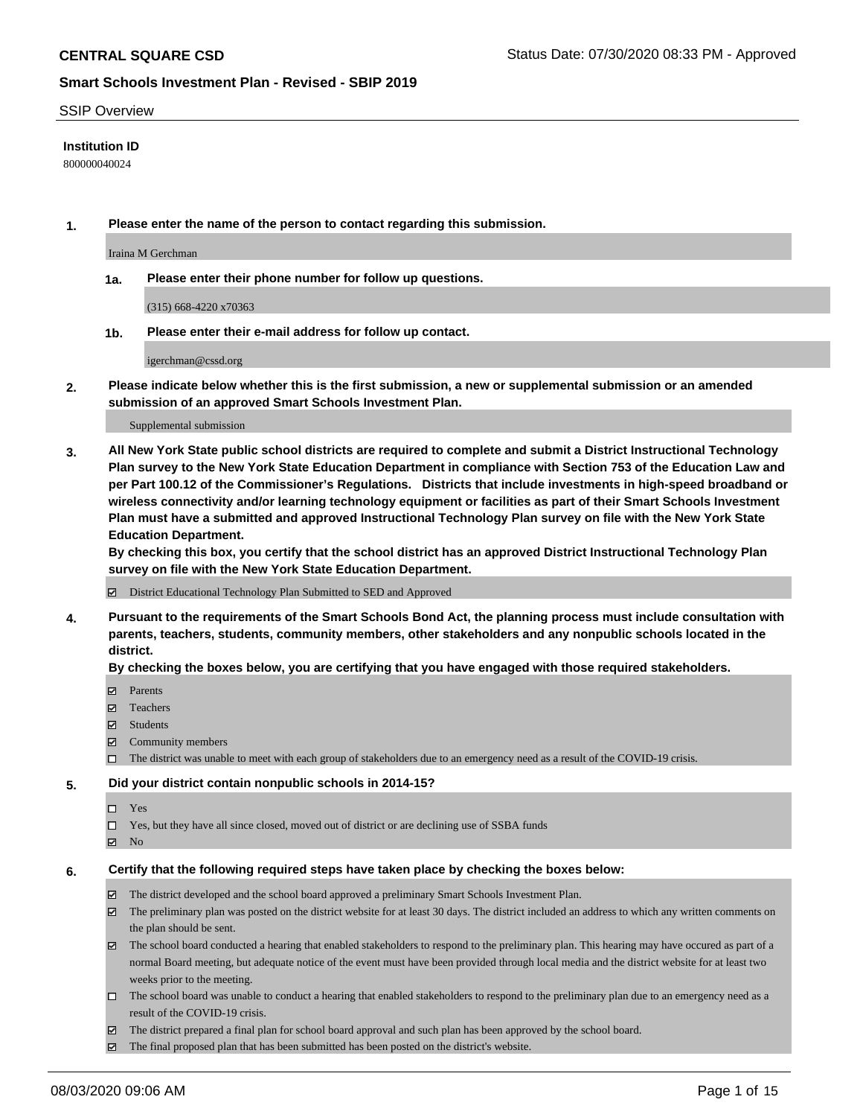### SSIP Overview

### **Institution ID**

800000040024

**1. Please enter the name of the person to contact regarding this submission.**

Iraina M Gerchman

**1a. Please enter their phone number for follow up questions.**

(315) 668-4220 x70363

**1b. Please enter their e-mail address for follow up contact.**

igerchman@cssd.org

**2. Please indicate below whether this is the first submission, a new or supplemental submission or an amended submission of an approved Smart Schools Investment Plan.**

#### Supplemental submission

**3. All New York State public school districts are required to complete and submit a District Instructional Technology Plan survey to the New York State Education Department in compliance with Section 753 of the Education Law and per Part 100.12 of the Commissioner's Regulations. Districts that include investments in high-speed broadband or wireless connectivity and/or learning technology equipment or facilities as part of their Smart Schools Investment Plan must have a submitted and approved Instructional Technology Plan survey on file with the New York State Education Department.** 

**By checking this box, you certify that the school district has an approved District Instructional Technology Plan survey on file with the New York State Education Department.**

District Educational Technology Plan Submitted to SED and Approved

**4. Pursuant to the requirements of the Smart Schools Bond Act, the planning process must include consultation with parents, teachers, students, community members, other stakeholders and any nonpublic schools located in the district.** 

### **By checking the boxes below, you are certifying that you have engaged with those required stakeholders.**

- **□** Parents
- Teachers
- Students
- $\boxtimes$  Community members
- The district was unable to meet with each group of stakeholders due to an emergency need as a result of the COVID-19 crisis.

### **5. Did your district contain nonpublic schools in 2014-15?**

- $\neg$  Yes
- Yes, but they have all since closed, moved out of district or are declining use of SSBA funds
- **Z** No

### **6. Certify that the following required steps have taken place by checking the boxes below:**

- The district developed and the school board approved a preliminary Smart Schools Investment Plan.
- $\boxtimes$  The preliminary plan was posted on the district website for at least 30 days. The district included an address to which any written comments on the plan should be sent.
- The school board conducted a hearing that enabled stakeholders to respond to the preliminary plan. This hearing may have occured as part of a normal Board meeting, but adequate notice of the event must have been provided through local media and the district website for at least two weeks prior to the meeting.
- The school board was unable to conduct a hearing that enabled stakeholders to respond to the preliminary plan due to an emergency need as a result of the COVID-19 crisis.
- The district prepared a final plan for school board approval and such plan has been approved by the school board.
- $\boxtimes$  The final proposed plan that has been submitted has been posted on the district's website.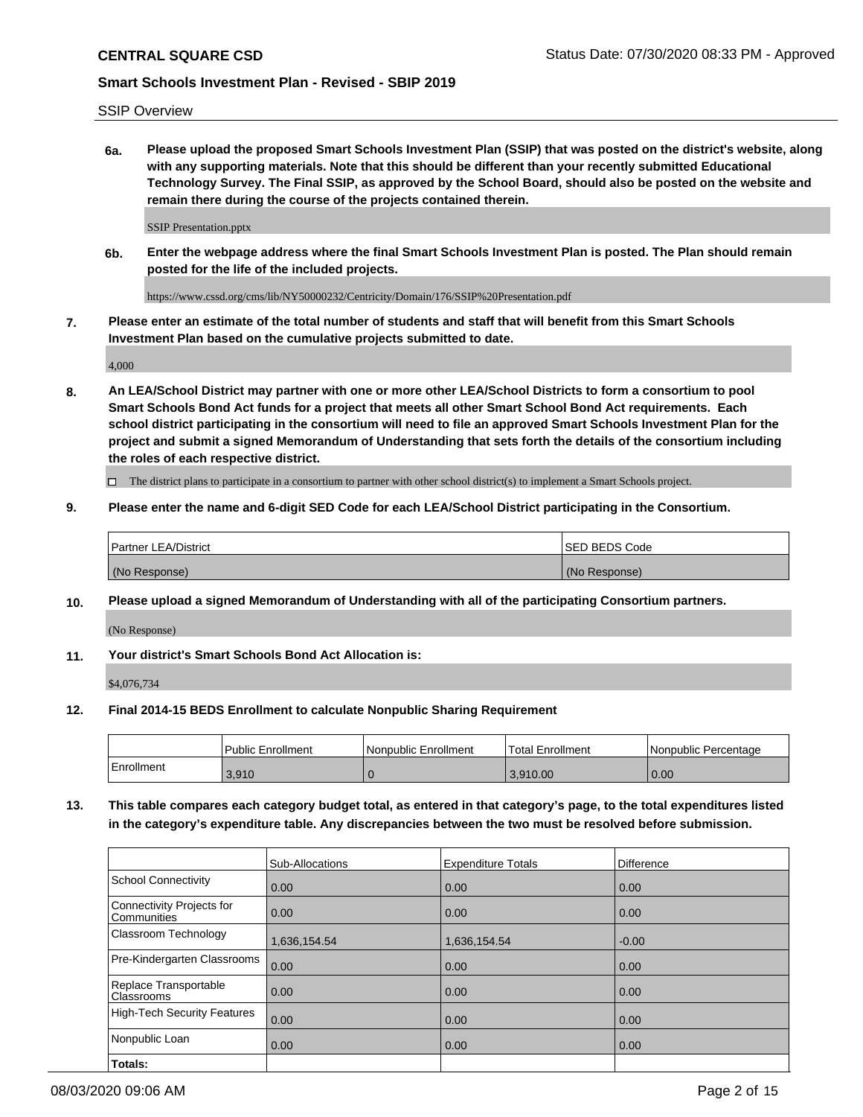SSIP Overview

**6a. Please upload the proposed Smart Schools Investment Plan (SSIP) that was posted on the district's website, along with any supporting materials. Note that this should be different than your recently submitted Educational Technology Survey. The Final SSIP, as approved by the School Board, should also be posted on the website and remain there during the course of the projects contained therein.**

SSIP Presentation.pptx

**6b. Enter the webpage address where the final Smart Schools Investment Plan is posted. The Plan should remain posted for the life of the included projects.**

https://www.cssd.org/cms/lib/NY50000232/Centricity/Domain/176/SSIP%20Presentation.pdf

**7. Please enter an estimate of the total number of students and staff that will benefit from this Smart Schools Investment Plan based on the cumulative projects submitted to date.**

4,000

**8. An LEA/School District may partner with one or more other LEA/School Districts to form a consortium to pool Smart Schools Bond Act funds for a project that meets all other Smart School Bond Act requirements. Each school district participating in the consortium will need to file an approved Smart Schools Investment Plan for the project and submit a signed Memorandum of Understanding that sets forth the details of the consortium including the roles of each respective district.**

 $\Box$  The district plans to participate in a consortium to partner with other school district(s) to implement a Smart Schools project.

## **9. Please enter the name and 6-digit SED Code for each LEA/School District participating in the Consortium.**

| Partner LEA/District | <b>ISED BEDS Code</b> |
|----------------------|-----------------------|
| (No Response)        | (No Response)         |

### **10. Please upload a signed Memorandum of Understanding with all of the participating Consortium partners.**

(No Response)

### **11. Your district's Smart Schools Bond Act Allocation is:**

\$4,076,734

### **12. Final 2014-15 BEDS Enrollment to calculate Nonpublic Sharing Requirement**

|            | l Public Enrollment | Nonpublic Enrollment | Total Enrollment | Nonpublic Percentage |
|------------|---------------------|----------------------|------------------|----------------------|
| Enrollment | 3,910               |                      | 3.910.00         | 0.00                 |

**13. This table compares each category budget total, as entered in that category's page, to the total expenditures listed in the category's expenditure table. Any discrepancies between the two must be resolved before submission.**

|                                          | Sub-Allocations | <b>Expenditure Totals</b> | Difference |
|------------------------------------------|-----------------|---------------------------|------------|
| <b>School Connectivity</b>               | 0.00            | 0.00                      | 0.00       |
| Connectivity Projects for<br>Communities | 0.00            | 0.00                      | 0.00       |
| Classroom Technology                     | 1,636,154.54    | 1,636,154.54              | $-0.00$    |
| Pre-Kindergarten Classrooms              | 0.00            | 0.00                      | 0.00       |
| Replace Transportable<br>Classrooms      | 0.00            | 0.00                      | 0.00       |
| <b>High-Tech Security Features</b>       | 0.00            | 0.00                      | 0.00       |
| Nonpublic Loan                           | 0.00            | 0.00                      | 0.00       |
| Totals:                                  |                 |                           |            |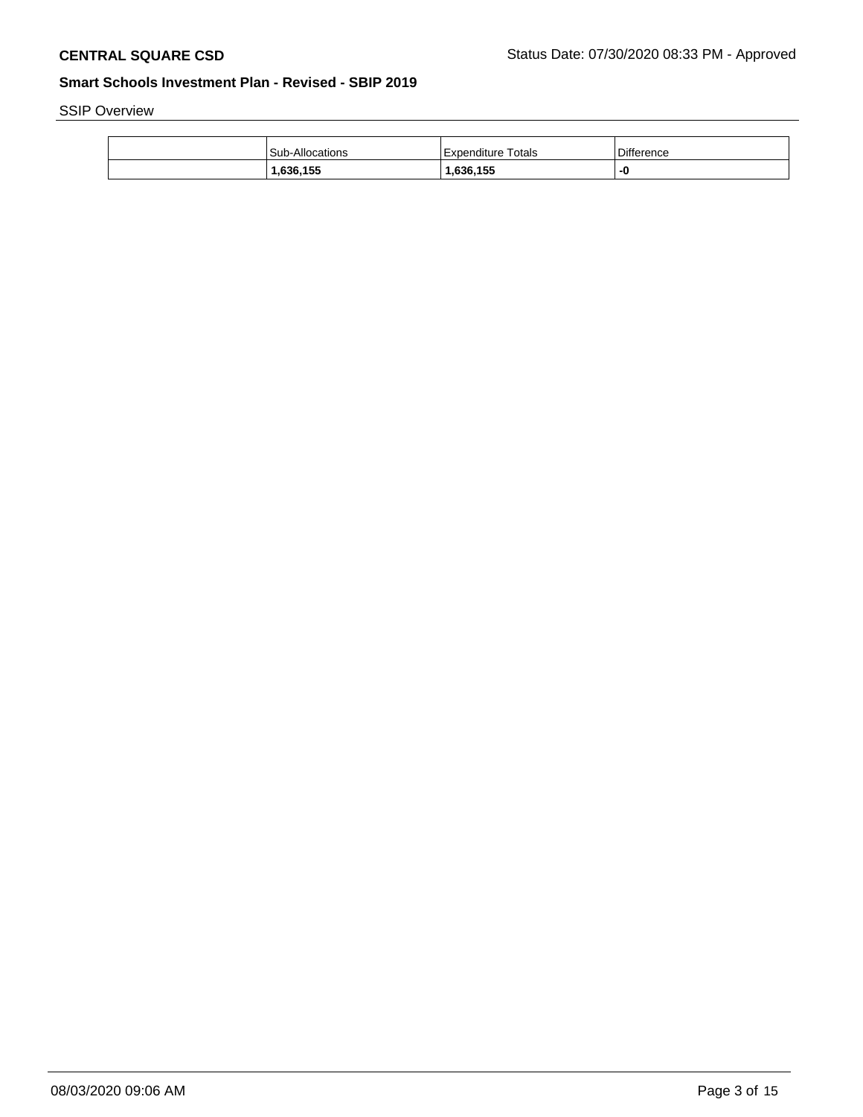SSIP Overview

| Sub-Allocations | Expenditure Totals | <b>Difference</b> |
|-----------------|--------------------|-------------------|
| .636,155        | ,636,155           |                   |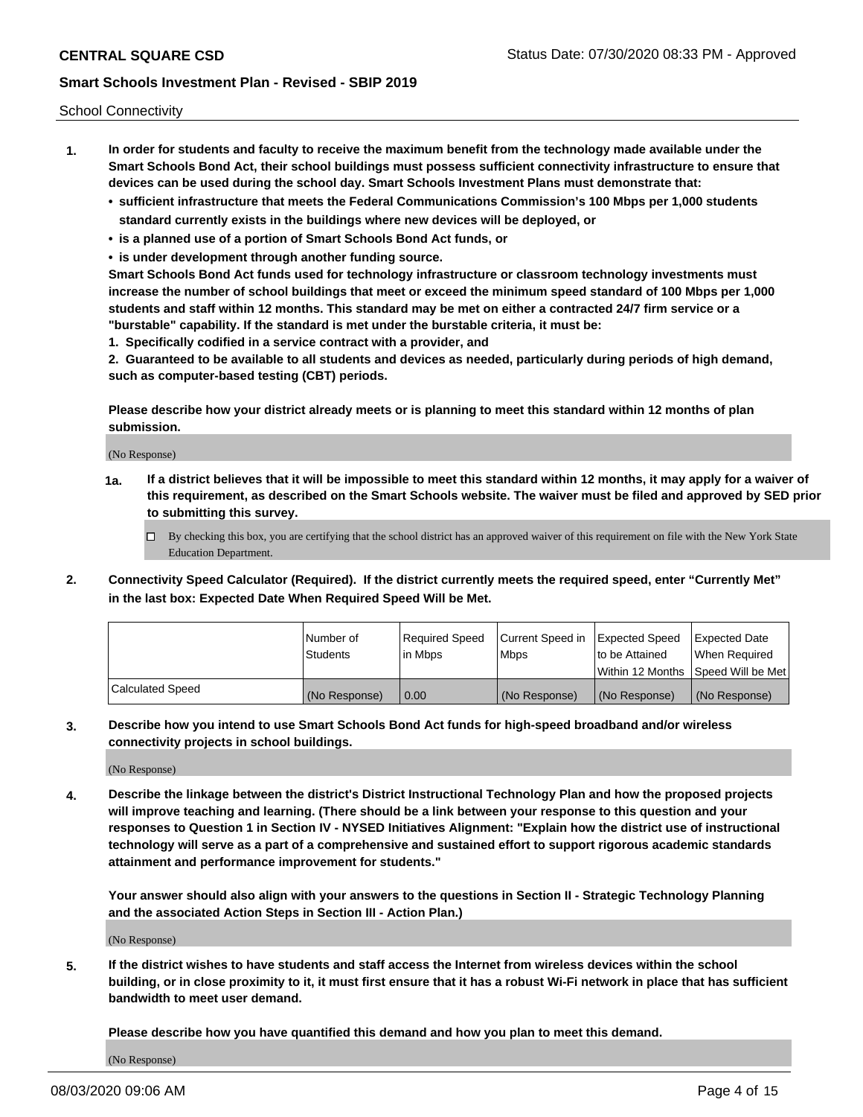School Connectivity

- **1. In order for students and faculty to receive the maximum benefit from the technology made available under the Smart Schools Bond Act, their school buildings must possess sufficient connectivity infrastructure to ensure that devices can be used during the school day. Smart Schools Investment Plans must demonstrate that:**
	- **• sufficient infrastructure that meets the Federal Communications Commission's 100 Mbps per 1,000 students standard currently exists in the buildings where new devices will be deployed, or**
	- **• is a planned use of a portion of Smart Schools Bond Act funds, or**
	- **• is under development through another funding source.**

**Smart Schools Bond Act funds used for technology infrastructure or classroom technology investments must increase the number of school buildings that meet or exceed the minimum speed standard of 100 Mbps per 1,000 students and staff within 12 months. This standard may be met on either a contracted 24/7 firm service or a "burstable" capability. If the standard is met under the burstable criteria, it must be:**

**1. Specifically codified in a service contract with a provider, and**

**2. Guaranteed to be available to all students and devices as needed, particularly during periods of high demand, such as computer-based testing (CBT) periods.**

**Please describe how your district already meets or is planning to meet this standard within 12 months of plan submission.**

(No Response)

**1a. If a district believes that it will be impossible to meet this standard within 12 months, it may apply for a waiver of this requirement, as described on the Smart Schools website. The waiver must be filed and approved by SED prior to submitting this survey.**

 $\Box$  By checking this box, you are certifying that the school district has an approved waiver of this requirement on file with the New York State Education Department.

**2. Connectivity Speed Calculator (Required). If the district currently meets the required speed, enter "Currently Met" in the last box: Expected Date When Required Speed Will be Met.**

|                  | l Number of     | Required Speed | Current Speed in | Expected Speed | Expected Date                        |
|------------------|-----------------|----------------|------------------|----------------|--------------------------------------|
|                  | <b>Students</b> | In Mbps        | <b>Mbps</b>      | to be Attained | When Required                        |
|                  |                 |                |                  |                | Within 12 Months 1Speed Will be Met1 |
| Calculated Speed | (No Response)   | 0.00           | (No Response)    | (No Response)  | l (No Response)                      |

**3. Describe how you intend to use Smart Schools Bond Act funds for high-speed broadband and/or wireless connectivity projects in school buildings.**

(No Response)

**4. Describe the linkage between the district's District Instructional Technology Plan and how the proposed projects will improve teaching and learning. (There should be a link between your response to this question and your responses to Question 1 in Section IV - NYSED Initiatives Alignment: "Explain how the district use of instructional technology will serve as a part of a comprehensive and sustained effort to support rigorous academic standards attainment and performance improvement for students."** 

**Your answer should also align with your answers to the questions in Section II - Strategic Technology Planning and the associated Action Steps in Section III - Action Plan.)**

(No Response)

**5. If the district wishes to have students and staff access the Internet from wireless devices within the school building, or in close proximity to it, it must first ensure that it has a robust Wi-Fi network in place that has sufficient bandwidth to meet user demand.**

**Please describe how you have quantified this demand and how you plan to meet this demand.**

(No Response)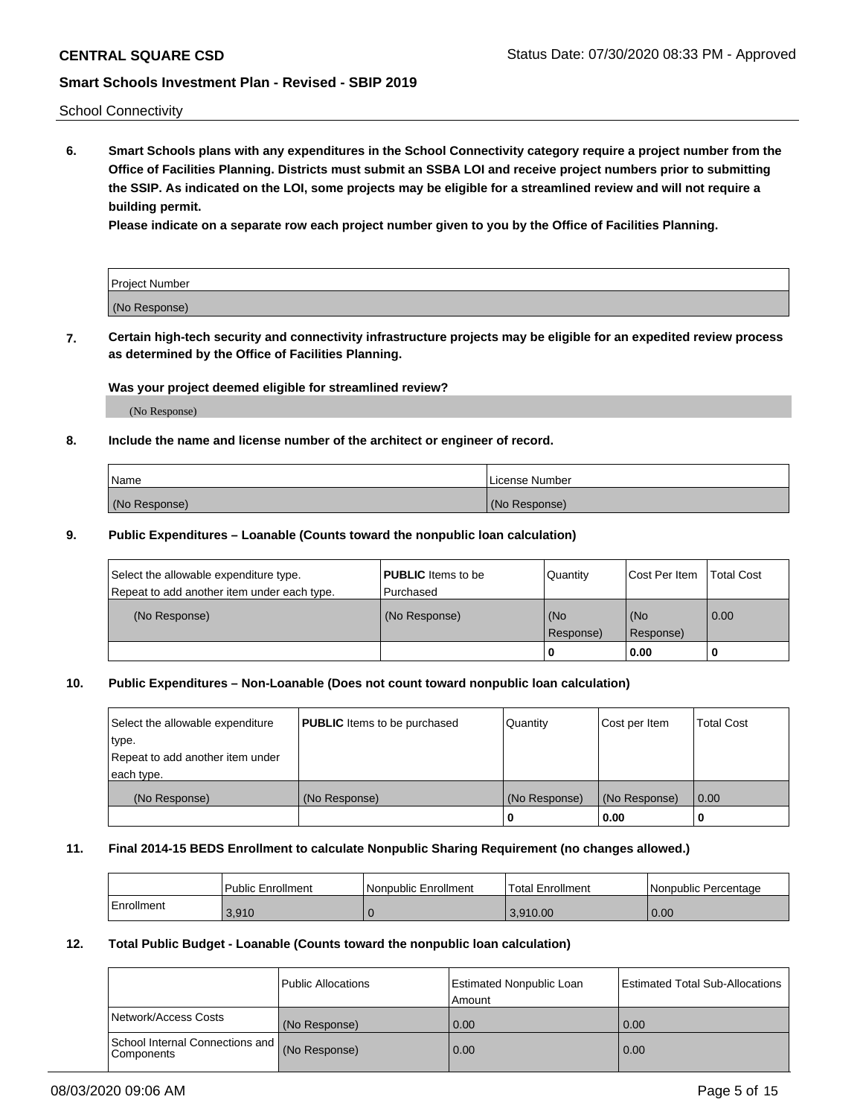School Connectivity

**6. Smart Schools plans with any expenditures in the School Connectivity category require a project number from the Office of Facilities Planning. Districts must submit an SSBA LOI and receive project numbers prior to submitting the SSIP. As indicated on the LOI, some projects may be eligible for a streamlined review and will not require a building permit.**

**Please indicate on a separate row each project number given to you by the Office of Facilities Planning.**

| Project Number |  |
|----------------|--|
| (No Response)  |  |

**7. Certain high-tech security and connectivity infrastructure projects may be eligible for an expedited review process as determined by the Office of Facilities Planning.**

### **Was your project deemed eligible for streamlined review?**

(No Response)

# **8. Include the name and license number of the architect or engineer of record.**

| Name          | License Number |
|---------------|----------------|
| (No Response) | (No Response)  |

### **9. Public Expenditures – Loanable (Counts toward the nonpublic loan calculation)**

| Select the allowable expenditure type.<br>Repeat to add another item under each type. | <b>PUBLIC</b> Items to be<br>l Purchased | Quantity           | Cost Per Item    | <b>Total Cost</b> |
|---------------------------------------------------------------------------------------|------------------------------------------|--------------------|------------------|-------------------|
| (No Response)                                                                         | (No Response)                            | l (No<br>Response) | (No<br>Response) | $\overline{0.00}$ |
|                                                                                       |                                          | 0                  | 0.00             |                   |

# **10. Public Expenditures – Non-Loanable (Does not count toward nonpublic loan calculation)**

| Select the allowable expenditure<br>type.<br>Repeat to add another item under<br>each type. | <b>PUBLIC</b> Items to be purchased | Quantity      | Cost per Item | <b>Total Cost</b> |
|---------------------------------------------------------------------------------------------|-------------------------------------|---------------|---------------|-------------------|
| (No Response)                                                                               | (No Response)                       | (No Response) | (No Response) | 0.00              |
|                                                                                             |                                     |               | 0.00          |                   |

### **11. Final 2014-15 BEDS Enrollment to calculate Nonpublic Sharing Requirement (no changes allowed.)**

|            | Public Enrollment | l Nonpublic Enrollment | <b>Total Enrollment</b> | Nonpublic Percentage |
|------------|-------------------|------------------------|-------------------------|----------------------|
| Enrollment | 3.910             |                        | 3.910.00                | 0.00                 |

### **12. Total Public Budget - Loanable (Counts toward the nonpublic loan calculation)**

|                                                      | Public Allocations | <b>Estimated Nonpublic Loan</b><br>Amount | Estimated Total Sub-Allocations |
|------------------------------------------------------|--------------------|-------------------------------------------|---------------------------------|
| Network/Access Costs                                 | (No Response)      | 0.00                                      | 0.00                            |
| School Internal Connections and<br><b>Components</b> | (No Response)      | 0.00                                      | 0.00                            |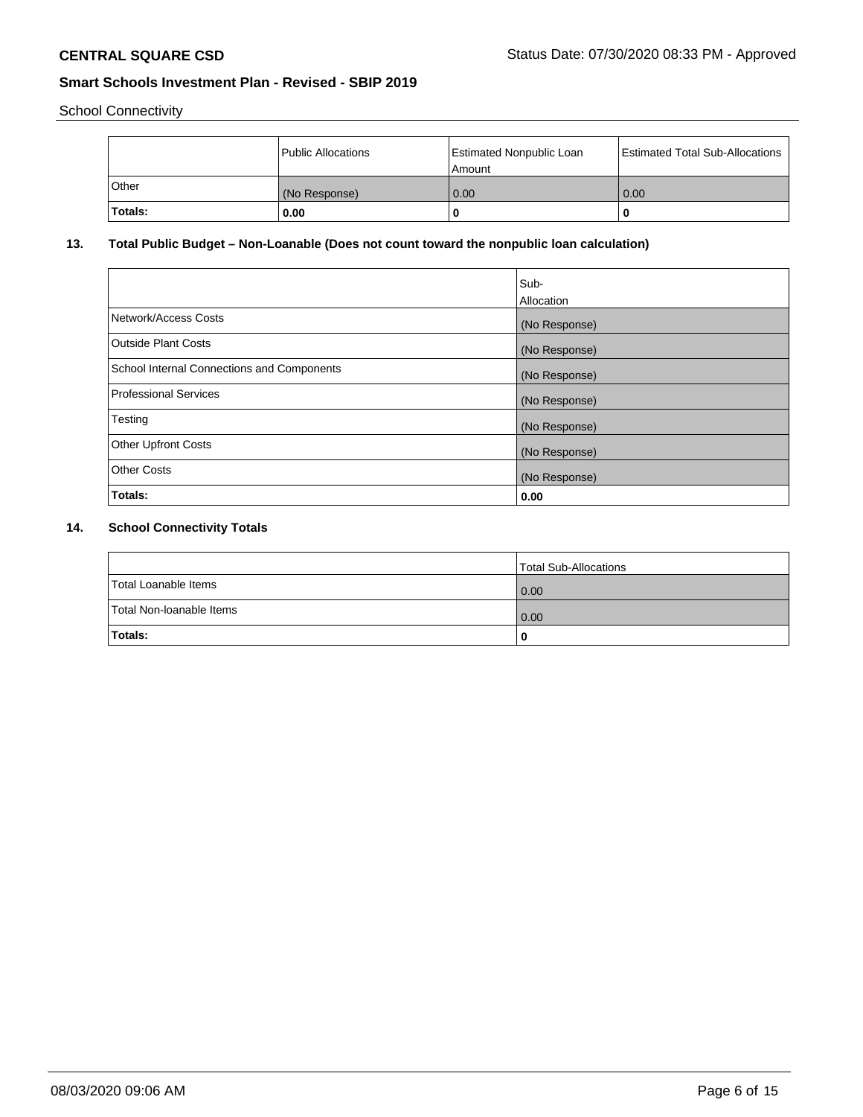School Connectivity

|              | Public Allocations | <b>Estimated Nonpublic Loan</b><br>Amount | <b>Estimated Total Sub-Allocations</b> |
|--------------|--------------------|-------------------------------------------|----------------------------------------|
| <b>Other</b> | (No Response)      | 0.00                                      | 0.00                                   |
| Totals:      | 0.00               |                                           | 0                                      |

# **13. Total Public Budget – Non-Loanable (Does not count toward the nonpublic loan calculation)**

|                                                   | Sub-<br>Allocation |
|---------------------------------------------------|--------------------|
| Network/Access Costs                              | (No Response)      |
| Outside Plant Costs                               | (No Response)      |
| <b>School Internal Connections and Components</b> | (No Response)      |
| <b>Professional Services</b>                      | (No Response)      |
| Testing                                           | (No Response)      |
| <b>Other Upfront Costs</b>                        | (No Response)      |
| <b>Other Costs</b>                                | (No Response)      |
| Totals:                                           | 0.00               |

# **14. School Connectivity Totals**

|                          | Total Sub-Allocations |
|--------------------------|-----------------------|
| Total Loanable Items     | 0.00                  |
| Total Non-Ioanable Items | 0.00                  |
| Totals:                  | 0                     |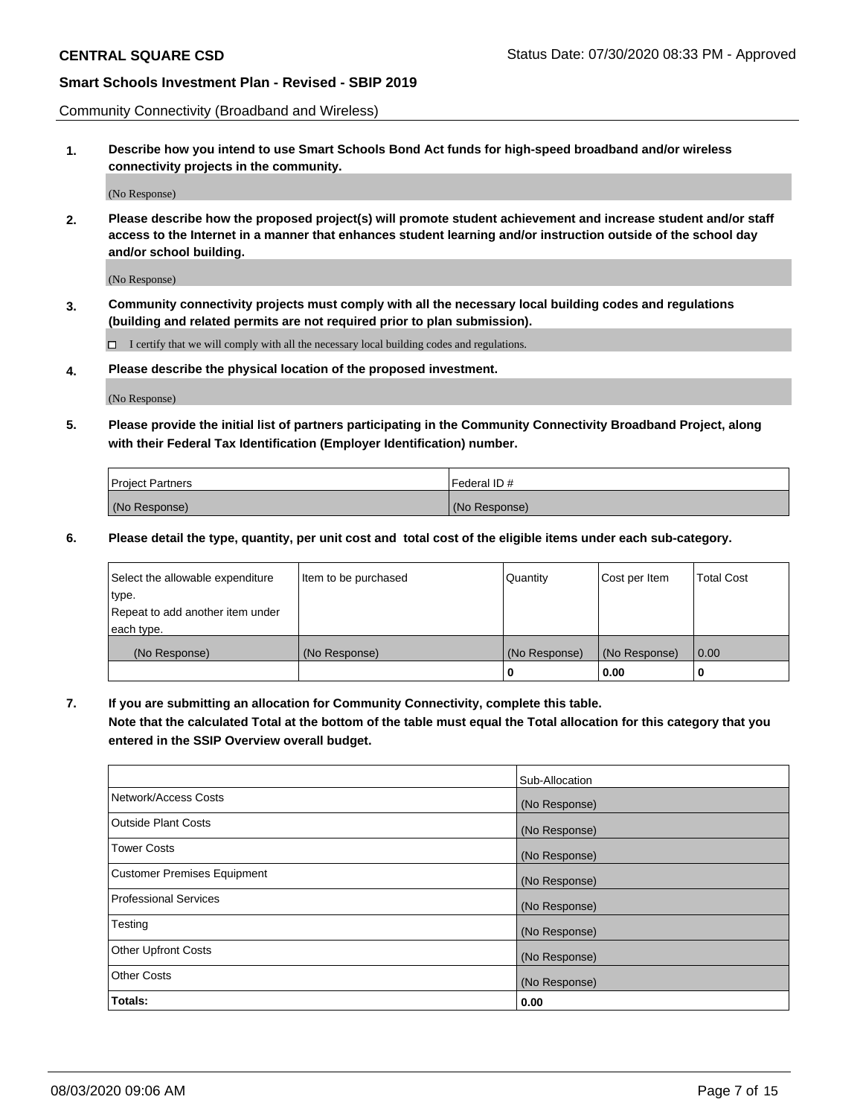Community Connectivity (Broadband and Wireless)

**1. Describe how you intend to use Smart Schools Bond Act funds for high-speed broadband and/or wireless connectivity projects in the community.**

(No Response)

**2. Please describe how the proposed project(s) will promote student achievement and increase student and/or staff access to the Internet in a manner that enhances student learning and/or instruction outside of the school day and/or school building.**

(No Response)

**3. Community connectivity projects must comply with all the necessary local building codes and regulations (building and related permits are not required prior to plan submission).**

 $\Box$  I certify that we will comply with all the necessary local building codes and regulations.

**4. Please describe the physical location of the proposed investment.**

(No Response)

**5. Please provide the initial list of partners participating in the Community Connectivity Broadband Project, along with their Federal Tax Identification (Employer Identification) number.**

| <b>Project Partners</b> | l Federal ID # |
|-------------------------|----------------|
| (No Response)           | (No Response)  |

**6. Please detail the type, quantity, per unit cost and total cost of the eligible items under each sub-category.**

| Select the allowable expenditure | Item to be purchased | Quantity      | Cost per Item | <b>Total Cost</b> |
|----------------------------------|----------------------|---------------|---------------|-------------------|
| type.                            |                      |               |               |                   |
| Repeat to add another item under |                      |               |               |                   |
| each type.                       |                      |               |               |                   |
| (No Response)                    | (No Response)        | (No Response) | (No Response) | 0.00              |
|                                  |                      | U             | 0.00          |                   |

**7. If you are submitting an allocation for Community Connectivity, complete this table.**

**Note that the calculated Total at the bottom of the table must equal the Total allocation for this category that you entered in the SSIP Overview overall budget.**

|                                    | Sub-Allocation |
|------------------------------------|----------------|
| Network/Access Costs               | (No Response)  |
| Outside Plant Costs                | (No Response)  |
| <b>Tower Costs</b>                 | (No Response)  |
| <b>Customer Premises Equipment</b> | (No Response)  |
| <b>Professional Services</b>       | (No Response)  |
| Testing                            | (No Response)  |
| <b>Other Upfront Costs</b>         | (No Response)  |
| <b>Other Costs</b>                 | (No Response)  |
| Totals:                            | 0.00           |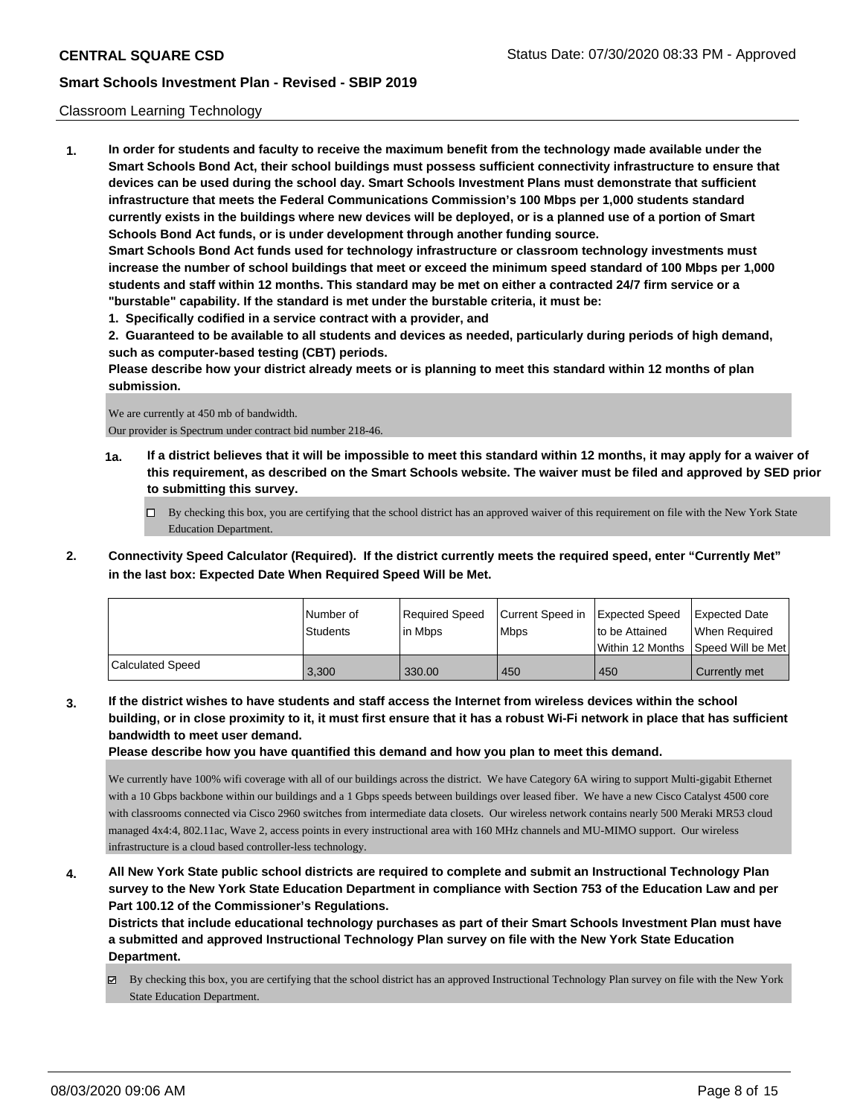### Classroom Learning Technology

**1. In order for students and faculty to receive the maximum benefit from the technology made available under the Smart Schools Bond Act, their school buildings must possess sufficient connectivity infrastructure to ensure that devices can be used during the school day. Smart Schools Investment Plans must demonstrate that sufficient infrastructure that meets the Federal Communications Commission's 100 Mbps per 1,000 students standard currently exists in the buildings where new devices will be deployed, or is a planned use of a portion of Smart Schools Bond Act funds, or is under development through another funding source. Smart Schools Bond Act funds used for technology infrastructure or classroom technology investments must**

**increase the number of school buildings that meet or exceed the minimum speed standard of 100 Mbps per 1,000 students and staff within 12 months. This standard may be met on either a contracted 24/7 firm service or a "burstable" capability. If the standard is met under the burstable criteria, it must be:**

**1. Specifically codified in a service contract with a provider, and**

**2. Guaranteed to be available to all students and devices as needed, particularly during periods of high demand, such as computer-based testing (CBT) periods.**

**Please describe how your district already meets or is planning to meet this standard within 12 months of plan submission.**

We are currently at 450 mb of bandwidth. Our provider is Spectrum under contract bid number 218-46.

- **1a. If a district believes that it will be impossible to meet this standard within 12 months, it may apply for a waiver of this requirement, as described on the Smart Schools website. The waiver must be filed and approved by SED prior to submitting this survey.**
	- By checking this box, you are certifying that the school district has an approved waiver of this requirement on file with the New York State Education Department.
- **2. Connectivity Speed Calculator (Required). If the district currently meets the required speed, enter "Currently Met" in the last box: Expected Date When Required Speed Will be Met.**

|                  | l Number of<br>Students | Required Speed<br>l in Mbps | Current Speed in<br>l Mbps | <b>Expected Speed</b><br>to be Attained | <b>Expected Date</b><br>When Required<br> Within 12 Months  Speed Will be Met |
|------------------|-------------------------|-----------------------------|----------------------------|-----------------------------------------|-------------------------------------------------------------------------------|
| Calculated Speed | 3.300                   | 330.00                      | 450                        | 450                                     | Currently met                                                                 |

**3. If the district wishes to have students and staff access the Internet from wireless devices within the school building, or in close proximity to it, it must first ensure that it has a robust Wi-Fi network in place that has sufficient bandwidth to meet user demand.**

**Please describe how you have quantified this demand and how you plan to meet this demand.**

We currently have 100% wifi coverage with all of our buildings across the district. We have Category 6A wiring to support Multi-gigabit Ethernet with a 10 Gbps backbone within our buildings and a 1 Gbps speeds between buildings over leased fiber. We have a new Cisco Catalyst 4500 core with classrooms connected via Cisco 2960 switches from intermediate data closets. Our wireless network contains nearly 500 Meraki MR53 cloud managed 4x4:4, 802.11ac, Wave 2, access points in every instructional area with 160 MHz channels and MU-MIMO support. Our wireless infrastructure is a cloud based controller-less technology.

**4. All New York State public school districts are required to complete and submit an Instructional Technology Plan survey to the New York State Education Department in compliance with Section 753 of the Education Law and per Part 100.12 of the Commissioner's Regulations.**

**Districts that include educational technology purchases as part of their Smart Schools Investment Plan must have a submitted and approved Instructional Technology Plan survey on file with the New York State Education Department.**

 $\boxtimes$  By checking this box, you are certifying that the school district has an approved Instructional Technology Plan survey on file with the New York State Education Department.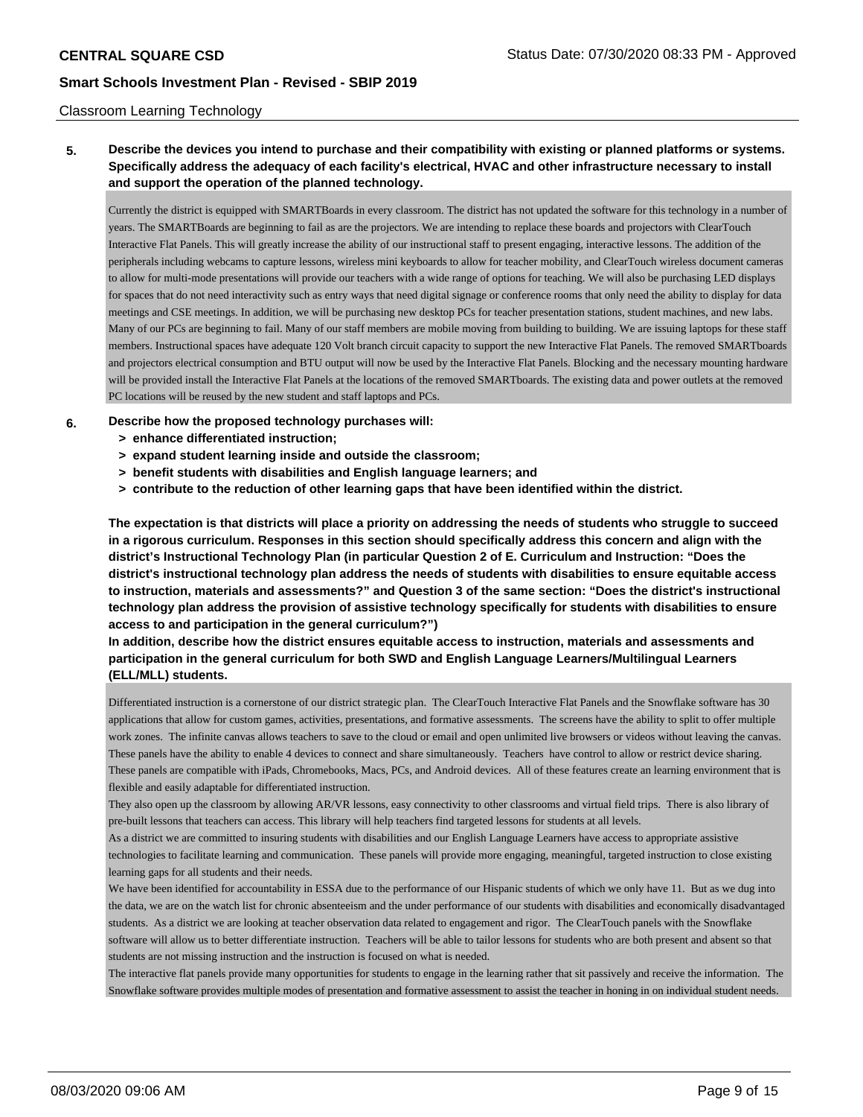### Classroom Learning Technology

**5. Describe the devices you intend to purchase and their compatibility with existing or planned platforms or systems. Specifically address the adequacy of each facility's electrical, HVAC and other infrastructure necessary to install and support the operation of the planned technology.**

Currently the district is equipped with SMARTBoards in every classroom. The district has not updated the software for this technology in a number of years. The SMARTBoards are beginning to fail as are the projectors. We are intending to replace these boards and projectors with ClearTouch Interactive Flat Panels. This will greatly increase the ability of our instructional staff to present engaging, interactive lessons. The addition of the peripherals including webcams to capture lessons, wireless mini keyboards to allow for teacher mobility, and ClearTouch wireless document cameras to allow for multi-mode presentations will provide our teachers with a wide range of options for teaching. We will also be purchasing LED displays for spaces that do not need interactivity such as entry ways that need digital signage or conference rooms that only need the ability to display for data meetings and CSE meetings. In addition, we will be purchasing new desktop PCs for teacher presentation stations, student machines, and new labs. Many of our PCs are beginning to fail. Many of our staff members are mobile moving from building to building. We are issuing laptops for these staff members. Instructional spaces have adequate 120 Volt branch circuit capacity to support the new Interactive Flat Panels. The removed SMARTboards and projectors electrical consumption and BTU output will now be used by the Interactive Flat Panels. Blocking and the necessary mounting hardware will be provided install the Interactive Flat Panels at the locations of the removed SMARTboards. The existing data and power outlets at the removed PC locations will be reused by the new student and staff laptops and PCs.

### **6. Describe how the proposed technology purchases will:**

- **> enhance differentiated instruction;**
- **> expand student learning inside and outside the classroom;**
- **> benefit students with disabilities and English language learners; and**
- **> contribute to the reduction of other learning gaps that have been identified within the district.**

**The expectation is that districts will place a priority on addressing the needs of students who struggle to succeed in a rigorous curriculum. Responses in this section should specifically address this concern and align with the district's Instructional Technology Plan (in particular Question 2 of E. Curriculum and Instruction: "Does the district's instructional technology plan address the needs of students with disabilities to ensure equitable access to instruction, materials and assessments?" and Question 3 of the same section: "Does the district's instructional technology plan address the provision of assistive technology specifically for students with disabilities to ensure access to and participation in the general curriculum?")**

**In addition, describe how the district ensures equitable access to instruction, materials and assessments and participation in the general curriculum for both SWD and English Language Learners/Multilingual Learners (ELL/MLL) students.**

Differentiated instruction is a cornerstone of our district strategic plan. The ClearTouch Interactive Flat Panels and the Snowflake software has 30 applications that allow for custom games, activities, presentations, and formative assessments. The screens have the ability to split to offer multiple work zones. The infinite canvas allows teachers to save to the cloud or email and open unlimited live browsers or videos without leaving the canvas. These panels have the ability to enable 4 devices to connect and share simultaneously. Teachers have control to allow or restrict device sharing. These panels are compatible with iPads, Chromebooks, Macs, PCs, and Android devices. All of these features create an learning environment that is flexible and easily adaptable for differentiated instruction.

They also open up the classroom by allowing AR/VR lessons, easy connectivity to other classrooms and virtual field trips. There is also library of pre-built lessons that teachers can access. This library will help teachers find targeted lessons for students at all levels.

As a district we are committed to insuring students with disabilities and our English Language Learners have access to appropriate assistive technologies to facilitate learning and communication. These panels will provide more engaging, meaningful, targeted instruction to close existing learning gaps for all students and their needs.

We have been identified for accountability in ESSA due to the performance of our Hispanic students of which we only have 11. But as we dug into the data, we are on the watch list for chronic absenteeism and the under performance of our students with disabilities and economically disadvantaged students. As a district we are looking at teacher observation data related to engagement and rigor. The ClearTouch panels with the Snowflake software will allow us to better differentiate instruction. Teachers will be able to tailor lessons for students who are both present and absent so that students are not missing instruction and the instruction is focused on what is needed.

The interactive flat panels provide many opportunities for students to engage in the learning rather that sit passively and receive the information. The Snowflake software provides multiple modes of presentation and formative assessment to assist the teacher in honing in on individual student needs.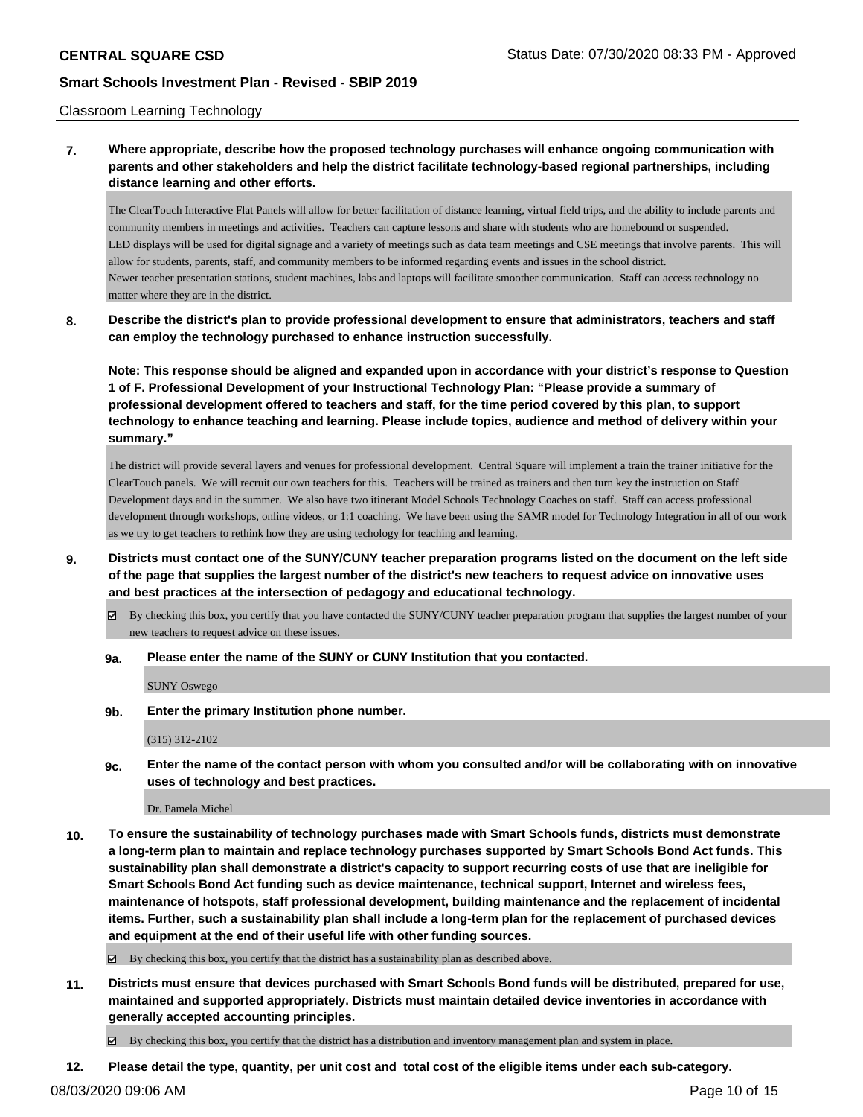### Classroom Learning Technology

# **7. Where appropriate, describe how the proposed technology purchases will enhance ongoing communication with parents and other stakeholders and help the district facilitate technology-based regional partnerships, including distance learning and other efforts.**

The ClearTouch Interactive Flat Panels will allow for better facilitation of distance learning, virtual field trips, and the ability to include parents and community members in meetings and activities. Teachers can capture lessons and share with students who are homebound or suspended. LED displays will be used for digital signage and a variety of meetings such as data team meetings and CSE meetings that involve parents. This will allow for students, parents, staff, and community members to be informed regarding events and issues in the school district. Newer teacher presentation stations, student machines, labs and laptops will facilitate smoother communication. Staff can access technology no matter where they are in the district.

# **8. Describe the district's plan to provide professional development to ensure that administrators, teachers and staff can employ the technology purchased to enhance instruction successfully.**

**Note: This response should be aligned and expanded upon in accordance with your district's response to Question 1 of F. Professional Development of your Instructional Technology Plan: "Please provide a summary of professional development offered to teachers and staff, for the time period covered by this plan, to support technology to enhance teaching and learning. Please include topics, audience and method of delivery within your summary."**

The district will provide several layers and venues for professional development. Central Square will implement a train the trainer initiative for the ClearTouch panels. We will recruit our own teachers for this. Teachers will be trained as trainers and then turn key the instruction on Staff Development days and in the summer. We also have two itinerant Model Schools Technology Coaches on staff. Staff can access professional development through workshops, online videos, or 1:1 coaching. We have been using the SAMR model for Technology Integration in all of our work as we try to get teachers to rethink how they are using techology for teaching and learning.

- **9. Districts must contact one of the SUNY/CUNY teacher preparation programs listed on the document on the left side of the page that supplies the largest number of the district's new teachers to request advice on innovative uses and best practices at the intersection of pedagogy and educational technology.**
	- $\boxtimes$  By checking this box, you certify that you have contacted the SUNY/CUNY teacher preparation program that supplies the largest number of your new teachers to request advice on these issues.

### **9a. Please enter the name of the SUNY or CUNY Institution that you contacted.**

SUNY Oswego

### **9b. Enter the primary Institution phone number.**

(315) 312-2102

**9c. Enter the name of the contact person with whom you consulted and/or will be collaborating with on innovative uses of technology and best practices.**

#### Dr. Pamela Michel

**10. To ensure the sustainability of technology purchases made with Smart Schools funds, districts must demonstrate a long-term plan to maintain and replace technology purchases supported by Smart Schools Bond Act funds. This sustainability plan shall demonstrate a district's capacity to support recurring costs of use that are ineligible for Smart Schools Bond Act funding such as device maintenance, technical support, Internet and wireless fees, maintenance of hotspots, staff professional development, building maintenance and the replacement of incidental items. Further, such a sustainability plan shall include a long-term plan for the replacement of purchased devices and equipment at the end of their useful life with other funding sources.**

 $\boxtimes$  By checking this box, you certify that the district has a sustainability plan as described above.

**11. Districts must ensure that devices purchased with Smart Schools Bond funds will be distributed, prepared for use, maintained and supported appropriately. Districts must maintain detailed device inventories in accordance with generally accepted accounting principles.**

By checking this box, you certify that the district has a distribution and inventory management plan and system in place.

### **12. Please detail the type, quantity, per unit cost and total cost of the eligible items under each sub-category.**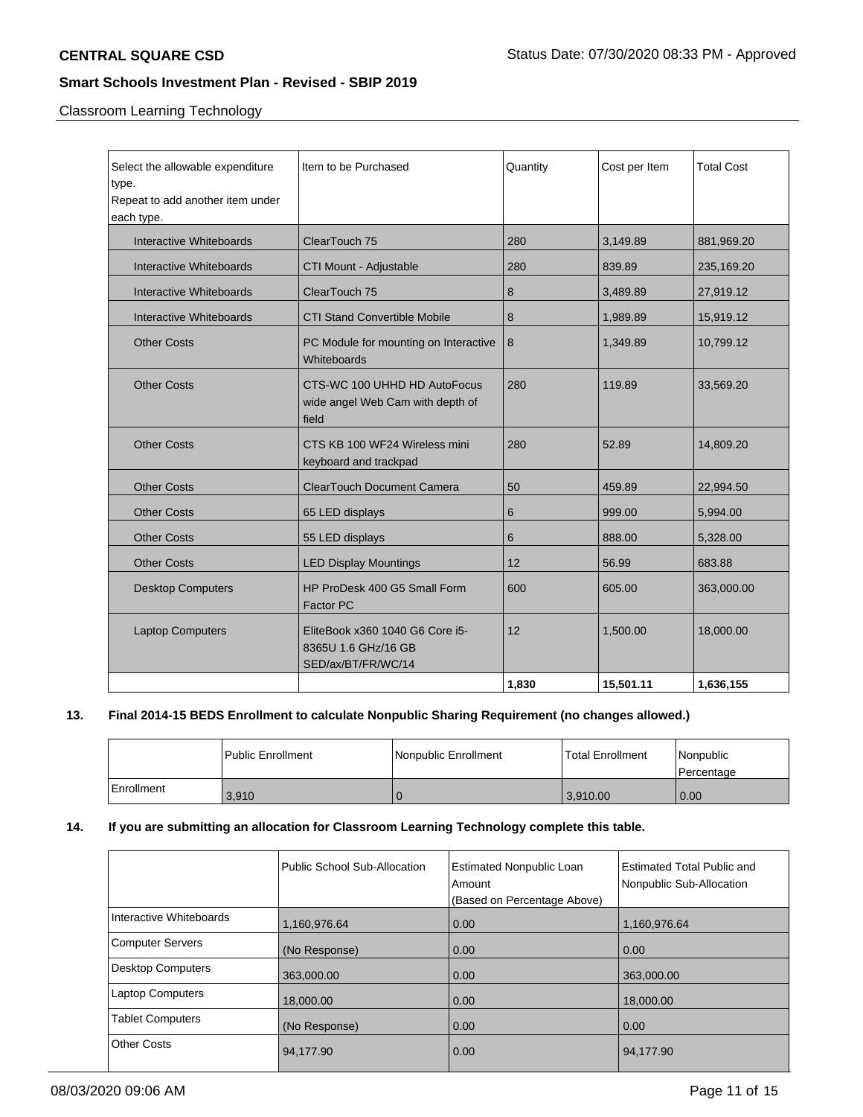Classroom Learning Technology

| Select the allowable expenditure | Item to be Purchased                                                         | Quantity | Cost per Item | <b>Total Cost</b> |
|----------------------------------|------------------------------------------------------------------------------|----------|---------------|-------------------|
| type.                            |                                                                              |          |               |                   |
| Repeat to add another item under |                                                                              |          |               |                   |
| each type.                       |                                                                              |          |               |                   |
| Interactive Whiteboards          | ClearTouch 75                                                                | 280      | 3,149.89      | 881,969.20        |
| Interactive Whiteboards          | CTI Mount - Adjustable                                                       | 280      | 839.89        | 235,169.20        |
| Interactive Whiteboards          | ClearTouch 75                                                                | 8        | 3,489.89      | 27,919.12         |
| Interactive Whiteboards          | <b>CTI Stand Convertible Mobile</b>                                          | 8        | 1,989.89      | 15,919.12         |
| <b>Other Costs</b>               | PC Module for mounting on Interactive<br>Whiteboards                         | 8        | 1,349.89      | 10,799.12         |
| <b>Other Costs</b>               | CTS-WC 100 UHHD HD AutoFocus<br>wide angel Web Cam with depth of<br>field    | 280      | 119.89        | 33,569.20         |
| <b>Other Costs</b>               | CTS KB 100 WF24 Wireless mini<br>keyboard and trackpad                       | 280      | 52.89         | 14,809.20         |
| <b>Other Costs</b>               | <b>ClearTouch Document Camera</b>                                            | 50       | 459.89        | 22,994.50         |
| <b>Other Costs</b>               | 65 LED displays                                                              | 6        | 999.00        | 5,994.00          |
| <b>Other Costs</b>               | 55 LED displays                                                              | 6        | 888.00        | 5,328.00          |
| <b>Other Costs</b>               | <b>LED Display Mountings</b>                                                 | 12       | 56.99         | 683.88            |
| <b>Desktop Computers</b>         | HP ProDesk 400 G5 Small Form<br>Factor PC                                    | 600      | 605.00        | 363,000.00        |
| <b>Laptop Computers</b>          | EliteBook x360 1040 G6 Core i5-<br>8365U 1.6 GHz/16 GB<br>SED/ax/BT/FR/WC/14 | 12       | 1,500.00      | 18,000.00         |
|                                  |                                                                              | 1,830    | 15,501.11     | 1,636,155         |

# **13. Final 2014-15 BEDS Enrollment to calculate Nonpublic Sharing Requirement (no changes allowed.)**

|            | l Public Enrollment | Nonpublic Enrollment | Total Enrollment | Nonpublic<br>Percentage |
|------------|---------------------|----------------------|------------------|-------------------------|
| Enrollment | 3,910               | ' U                  | 3.910.00         | 0.00                    |

# **14. If you are submitting an allocation for Classroom Learning Technology complete this table.**

|                         | Public School Sub-Allocation | <b>Estimated Nonpublic Loan</b><br>Amount<br>(Based on Percentage Above) | Estimated Total Public and<br>Nonpublic Sub-Allocation |
|-------------------------|------------------------------|--------------------------------------------------------------------------|--------------------------------------------------------|
| Interactive Whiteboards | 1,160,976.64                 | 0.00                                                                     | 1,160,976.64                                           |
| <b>Computer Servers</b> | (No Response)                | 0.00                                                                     | 0.00                                                   |
| Desktop Computers       | 363.000.00                   | 0.00                                                                     | 363,000.00                                             |
| <b>Laptop Computers</b> | 18,000.00                    | 0.00                                                                     | 18,000.00                                              |
| <b>Tablet Computers</b> | (No Response)                | 0.00                                                                     | 0.00                                                   |
| <b>Other Costs</b>      | 94,177.90                    | 0.00                                                                     | 94,177.90                                              |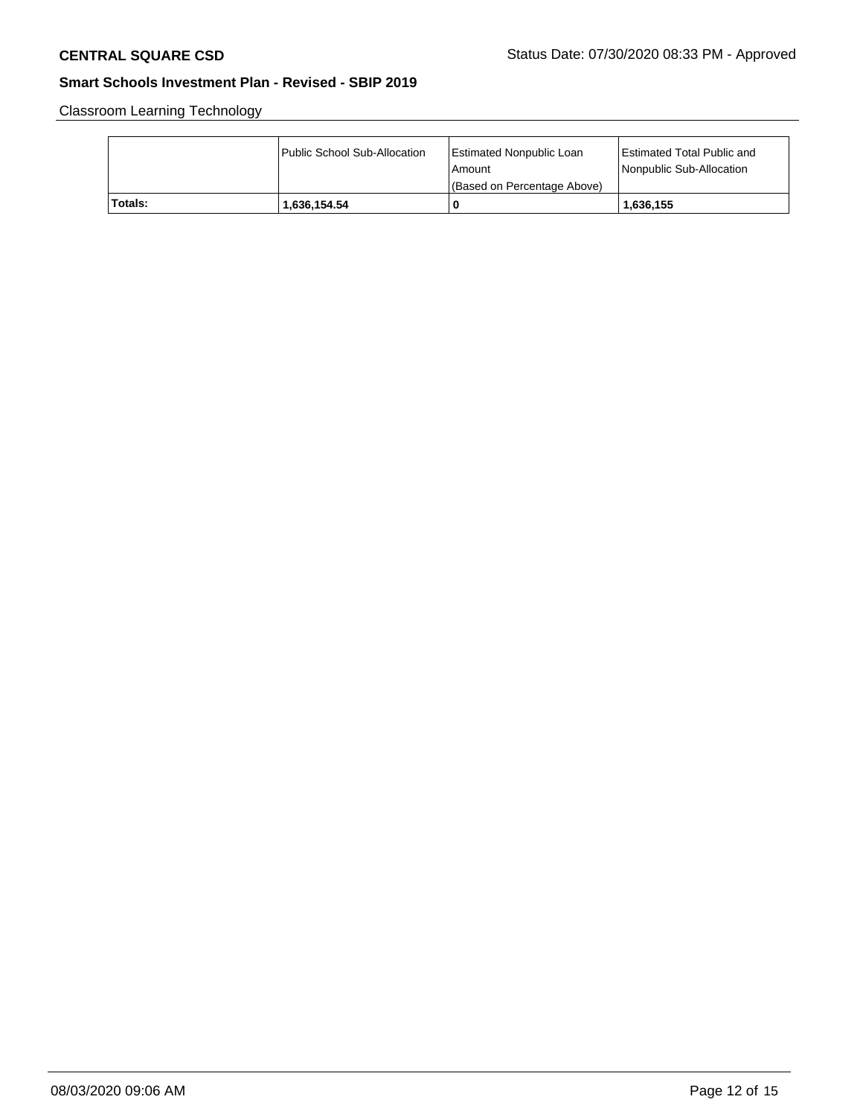Classroom Learning Technology

|         | Public School Sub-Allocation | <b>Estimated Nonpublic Loan</b><br>l Amount<br>(Based on Percentage Above) | <b>Estimated Total Public and</b><br><b>Nonpublic Sub-Allocation</b> |
|---------|------------------------------|----------------------------------------------------------------------------|----------------------------------------------------------------------|
| Totals: | 1,636,154.54                 | 0                                                                          | 1,636,155                                                            |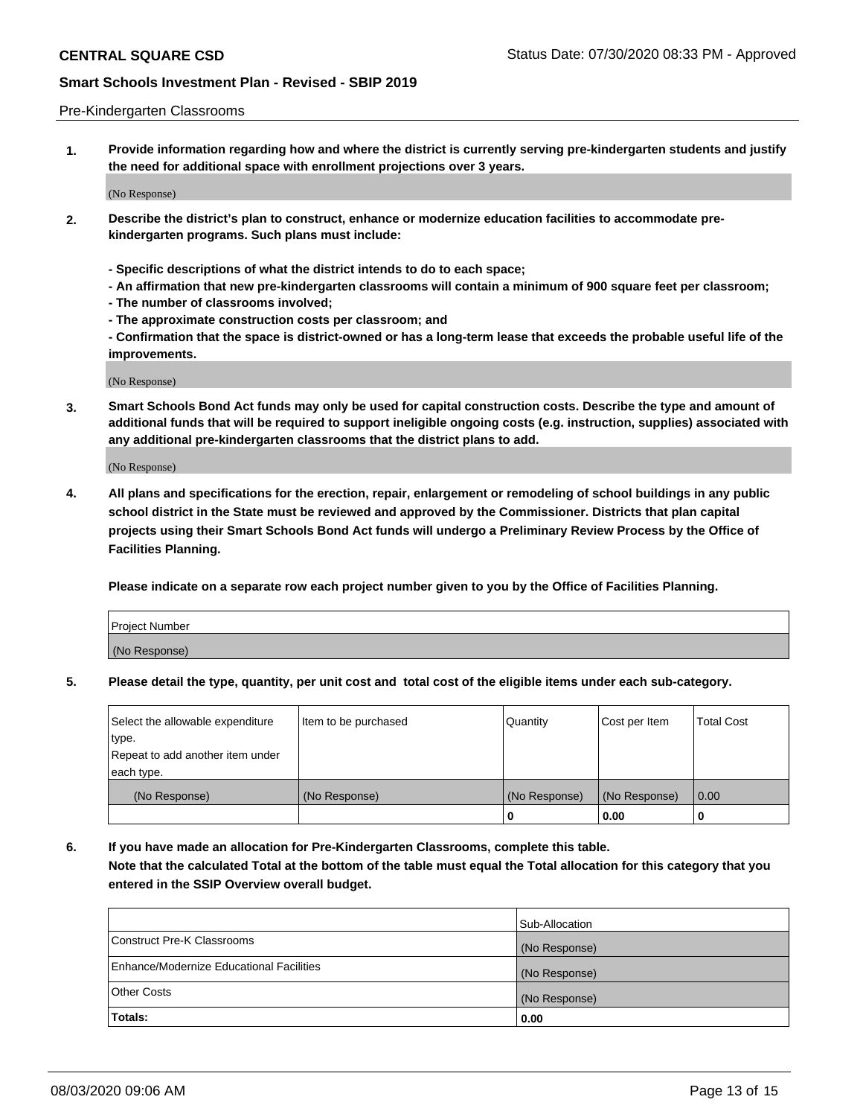### Pre-Kindergarten Classrooms

**1. Provide information regarding how and where the district is currently serving pre-kindergarten students and justify the need for additional space with enrollment projections over 3 years.**

(No Response)

- **2. Describe the district's plan to construct, enhance or modernize education facilities to accommodate prekindergarten programs. Such plans must include:**
	- **Specific descriptions of what the district intends to do to each space;**
	- **An affirmation that new pre-kindergarten classrooms will contain a minimum of 900 square feet per classroom;**
	- **The number of classrooms involved;**
	- **The approximate construction costs per classroom; and**
	- **Confirmation that the space is district-owned or has a long-term lease that exceeds the probable useful life of the improvements.**

(No Response)

**3. Smart Schools Bond Act funds may only be used for capital construction costs. Describe the type and amount of additional funds that will be required to support ineligible ongoing costs (e.g. instruction, supplies) associated with any additional pre-kindergarten classrooms that the district plans to add.**

(No Response)

**4. All plans and specifications for the erection, repair, enlargement or remodeling of school buildings in any public school district in the State must be reviewed and approved by the Commissioner. Districts that plan capital projects using their Smart Schools Bond Act funds will undergo a Preliminary Review Process by the Office of Facilities Planning.**

**Please indicate on a separate row each project number given to you by the Office of Facilities Planning.**

| Project Number |  |
|----------------|--|
| (No Response)  |  |
|                |  |

**5. Please detail the type, quantity, per unit cost and total cost of the eligible items under each sub-category.**

| Select the allowable expenditure | Item to be purchased | Quantity      | Cost per Item | <b>Total Cost</b> |
|----------------------------------|----------------------|---------------|---------------|-------------------|
| type.                            |                      |               |               |                   |
| Repeat to add another item under |                      |               |               |                   |
| each type.                       |                      |               |               |                   |
| (No Response)                    | (No Response)        | (No Response) | (No Response) | 0.00              |
|                                  |                      | U             | 0.00          |                   |

**6. If you have made an allocation for Pre-Kindergarten Classrooms, complete this table. Note that the calculated Total at the bottom of the table must equal the Total allocation for this category that you entered in the SSIP Overview overall budget.**

|                                          | Sub-Allocation |
|------------------------------------------|----------------|
| Construct Pre-K Classrooms               | (No Response)  |
| Enhance/Modernize Educational Facilities | (No Response)  |
| <b>Other Costs</b>                       | (No Response)  |
| Totals:                                  | 0.00           |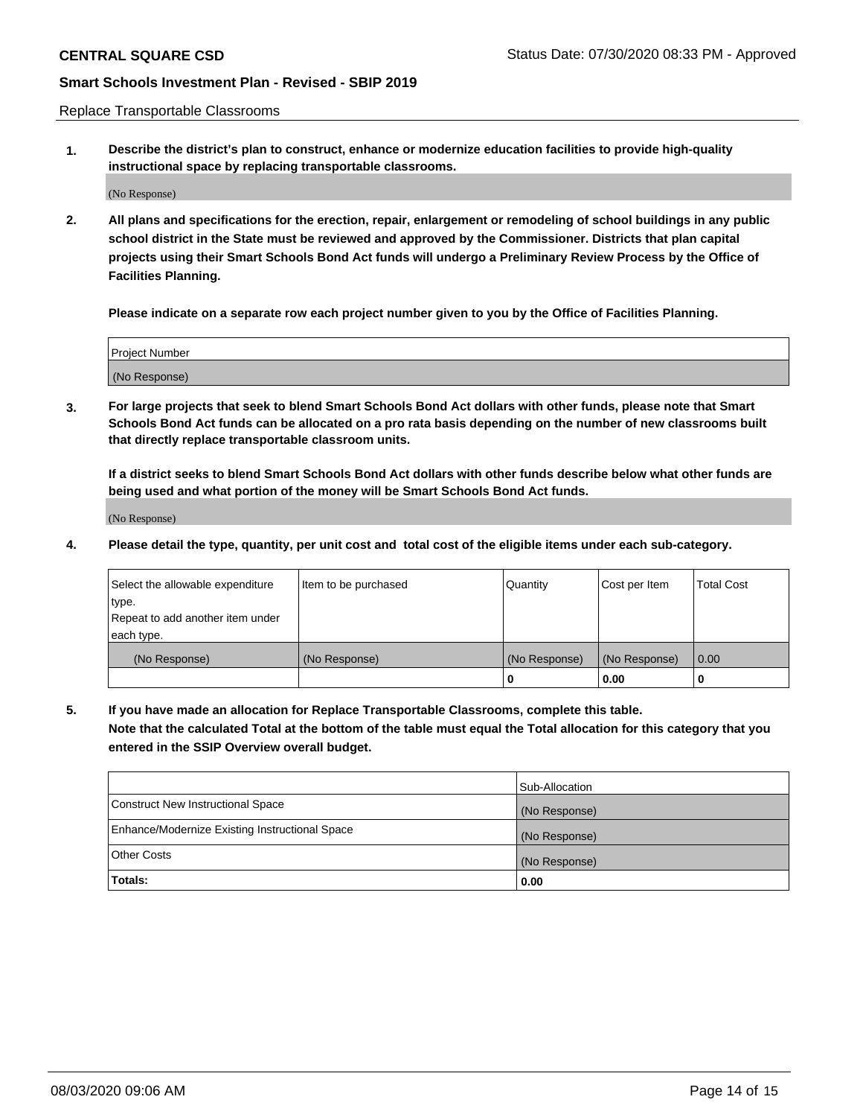Replace Transportable Classrooms

**1. Describe the district's plan to construct, enhance or modernize education facilities to provide high-quality instructional space by replacing transportable classrooms.**

(No Response)

**2. All plans and specifications for the erection, repair, enlargement or remodeling of school buildings in any public school district in the State must be reviewed and approved by the Commissioner. Districts that plan capital projects using their Smart Schools Bond Act funds will undergo a Preliminary Review Process by the Office of Facilities Planning.**

**Please indicate on a separate row each project number given to you by the Office of Facilities Planning.**

| Project Number |  |
|----------------|--|
|                |  |
|                |  |
|                |  |
|                |  |
| (No Response)  |  |
|                |  |
|                |  |
|                |  |

**3. For large projects that seek to blend Smart Schools Bond Act dollars with other funds, please note that Smart Schools Bond Act funds can be allocated on a pro rata basis depending on the number of new classrooms built that directly replace transportable classroom units.**

**If a district seeks to blend Smart Schools Bond Act dollars with other funds describe below what other funds are being used and what portion of the money will be Smart Schools Bond Act funds.**

(No Response)

**4. Please detail the type, quantity, per unit cost and total cost of the eligible items under each sub-category.**

| Select the allowable expenditure | Item to be purchased | Quantity      | Cost per Item | Total Cost |
|----------------------------------|----------------------|---------------|---------------|------------|
| ∣type.                           |                      |               |               |            |
| Repeat to add another item under |                      |               |               |            |
| each type.                       |                      |               |               |            |
| (No Response)                    | (No Response)        | (No Response) | (No Response) | 0.00       |
|                                  |                      | u             | 0.00          |            |

**5. If you have made an allocation for Replace Transportable Classrooms, complete this table. Note that the calculated Total at the bottom of the table must equal the Total allocation for this category that you entered in the SSIP Overview overall budget.**

|                                                | Sub-Allocation |
|------------------------------------------------|----------------|
| Construct New Instructional Space              | (No Response)  |
| Enhance/Modernize Existing Instructional Space | (No Response)  |
| Other Costs                                    | (No Response)  |
| Totals:                                        | 0.00           |